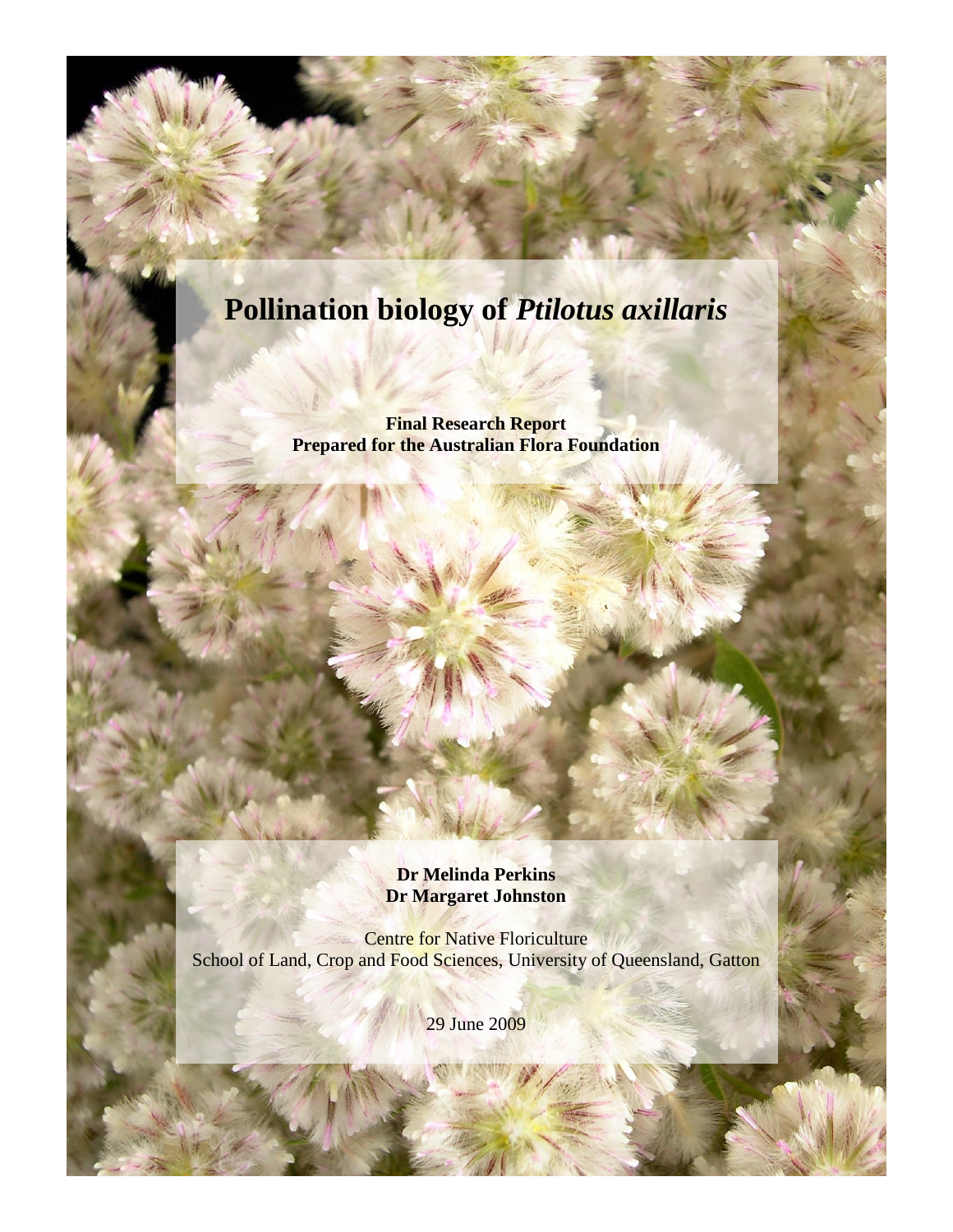# **Pollination biology of** *Ptilotus axillaris*

**Final Research Report Prepared for the Australian Flora Foundation**

> **Dr Melinda Perkins Dr Margaret Johnston**

Centre for Native Floriculture School of Land, Crop and Food Sciences, University of Queensland, Gatton

29 June 2009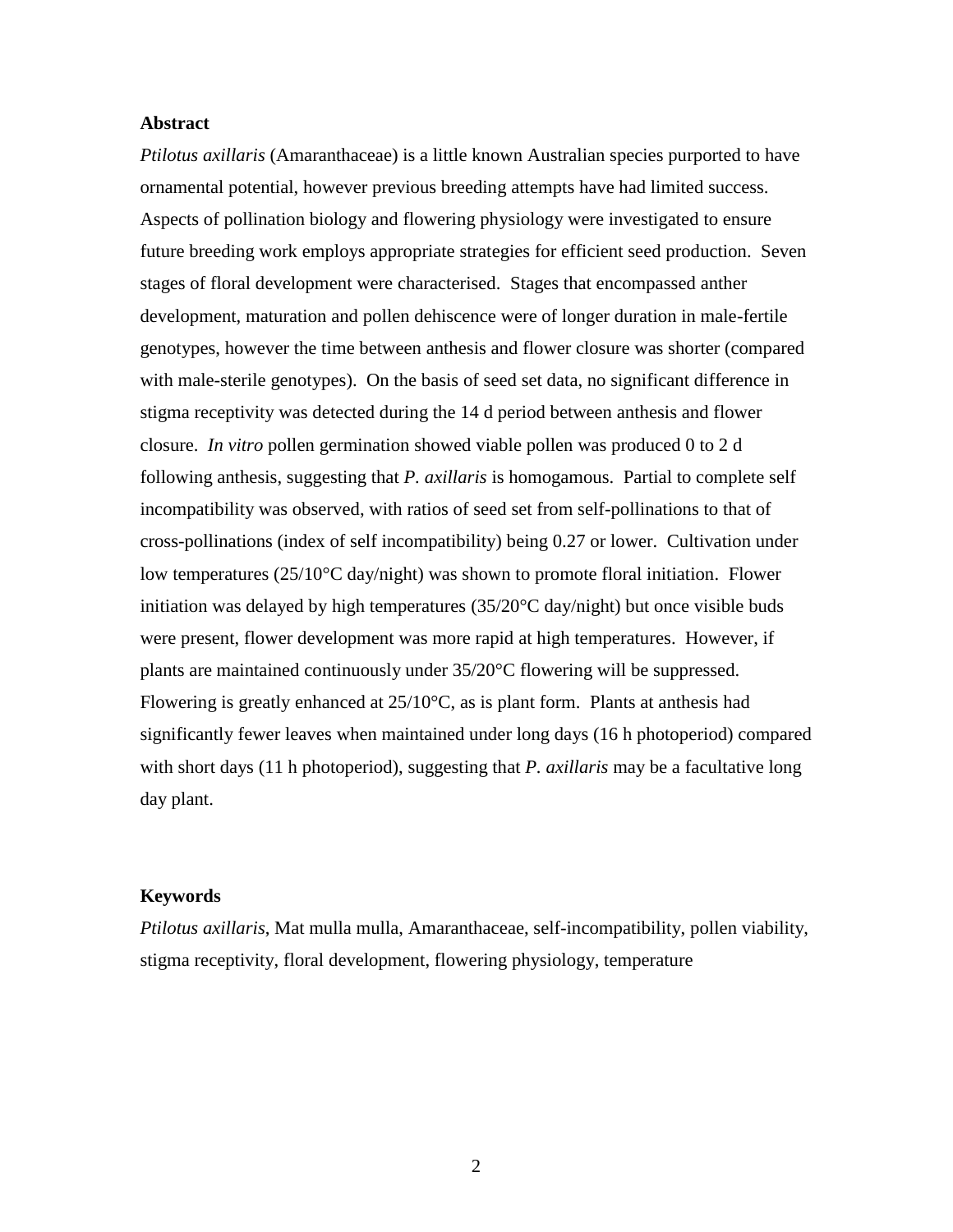# **Abstract**

*Ptilotus axillaris* (Amaranthaceae) is a little known Australian species purported to have ornamental potential, however previous breeding attempts have had limited success. Aspects of pollination biology and flowering physiology were investigated to ensure future breeding work employs appropriate strategies for efficient seed production. Seven stages of floral development were characterised. Stages that encompassed anther development, maturation and pollen dehiscence were of longer duration in male-fertile genotypes, however the time between anthesis and flower closure was shorter (compared with male-sterile genotypes). On the basis of seed set data, no significant difference in stigma receptivity was detected during the 14 d period between anthesis and flower closure. *In vitro* pollen germination showed viable pollen was produced 0 to 2 d following anthesis, suggesting that *P. axillaris* is homogamous. Partial to complete self incompatibility was observed, with ratios of seed set from self-pollinations to that of cross-pollinations (index of self incompatibility) being 0.27 or lower. Cultivation under low temperatures (25/10°C day/night) was shown to promote floral initiation. Flower initiation was delayed by high temperatures (35/20°C day/night) but once visible buds were present, flower development was more rapid at high temperatures. However, if plants are maintained continuously under 35/20°C flowering will be suppressed. Flowering is greatly enhanced at 25/10°C, as is plant form. Plants at anthesis had significantly fewer leaves when maintained under long days (16 h photoperiod) compared with short days (11 h photoperiod), suggesting that *P. axillaris* may be a facultative long day plant.

# **Keywords**

*Ptilotus axillaris*, Mat mulla mulla, Amaranthaceae, self-incompatibility, pollen viability, stigma receptivity, floral development, flowering physiology, temperature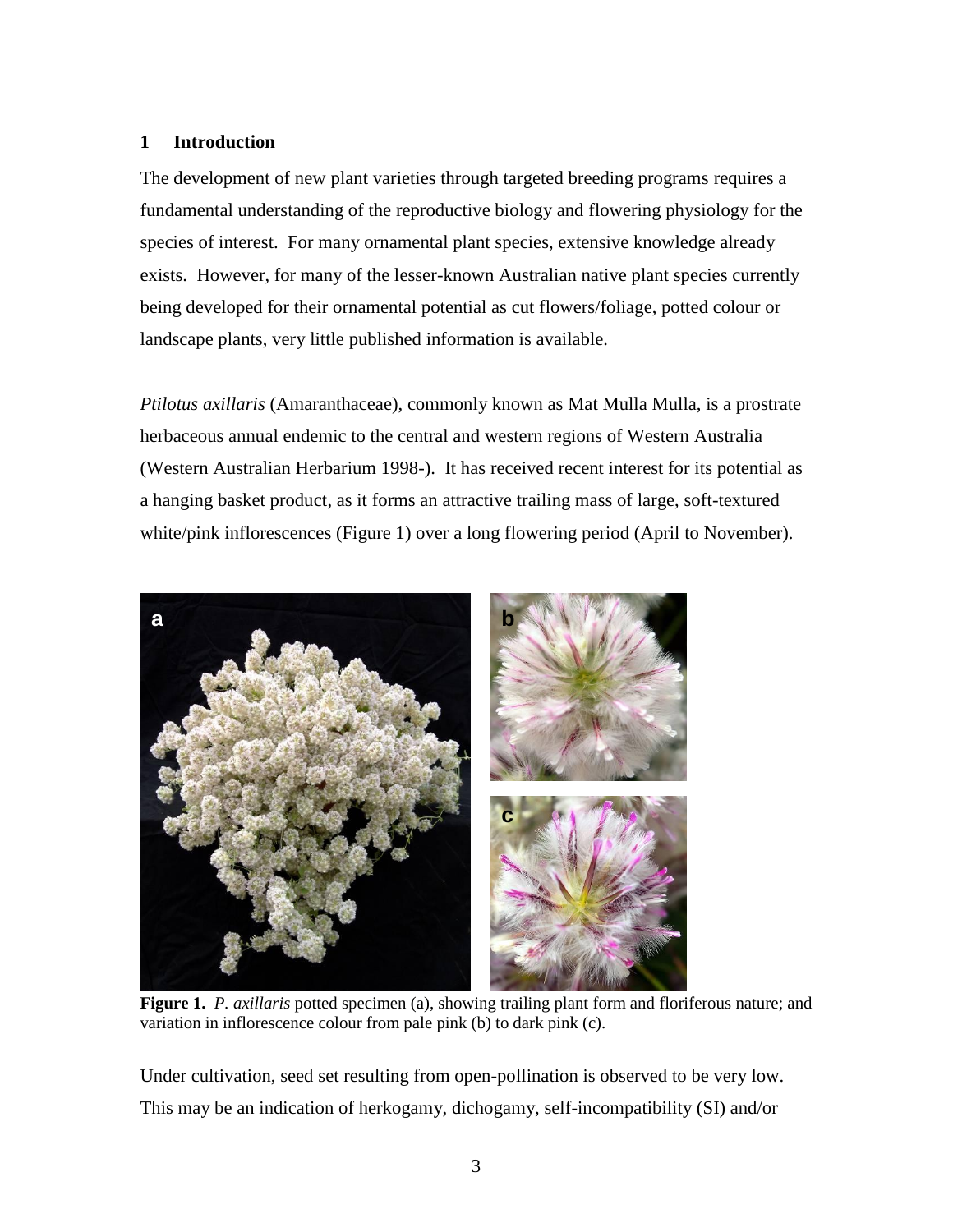# **1 Introduction**

The development of new plant varieties through targeted breeding programs requires a fundamental understanding of the reproductive biology and flowering physiology for the species of interest. For many ornamental plant species, extensive knowledge already exists. However, for many of the lesser-known Australian native plant species currently being developed for their ornamental potential as cut flowers/foliage, potted colour or landscape plants, very little published information is available.

*Ptilotus axillaris* (Amaranthaceae), commonly known as Mat Mulla Mulla, is a prostrate herbaceous annual endemic to the central and western regions of Western Australia (Western Australian Herbarium 1998-). It has received recent interest for its potential as a hanging basket product, as it forms an attractive trailing mass of large, soft-textured white/pink inflorescences [\(Figure 1\)](#page-2-0) over a long flowering period (April to November).



**Figure 1.** *P. axillaris* potted specimen (a), showing trailing plant form and floriferous nature; and variation in inflorescence colour from pale pink (b) to dark pink (c).

<span id="page-2-0"></span>Under cultivation, seed set resulting from open-pollination is observed to be very low. This may be an indication of herkogamy, dichogamy, self-incompatibility (SI) and/or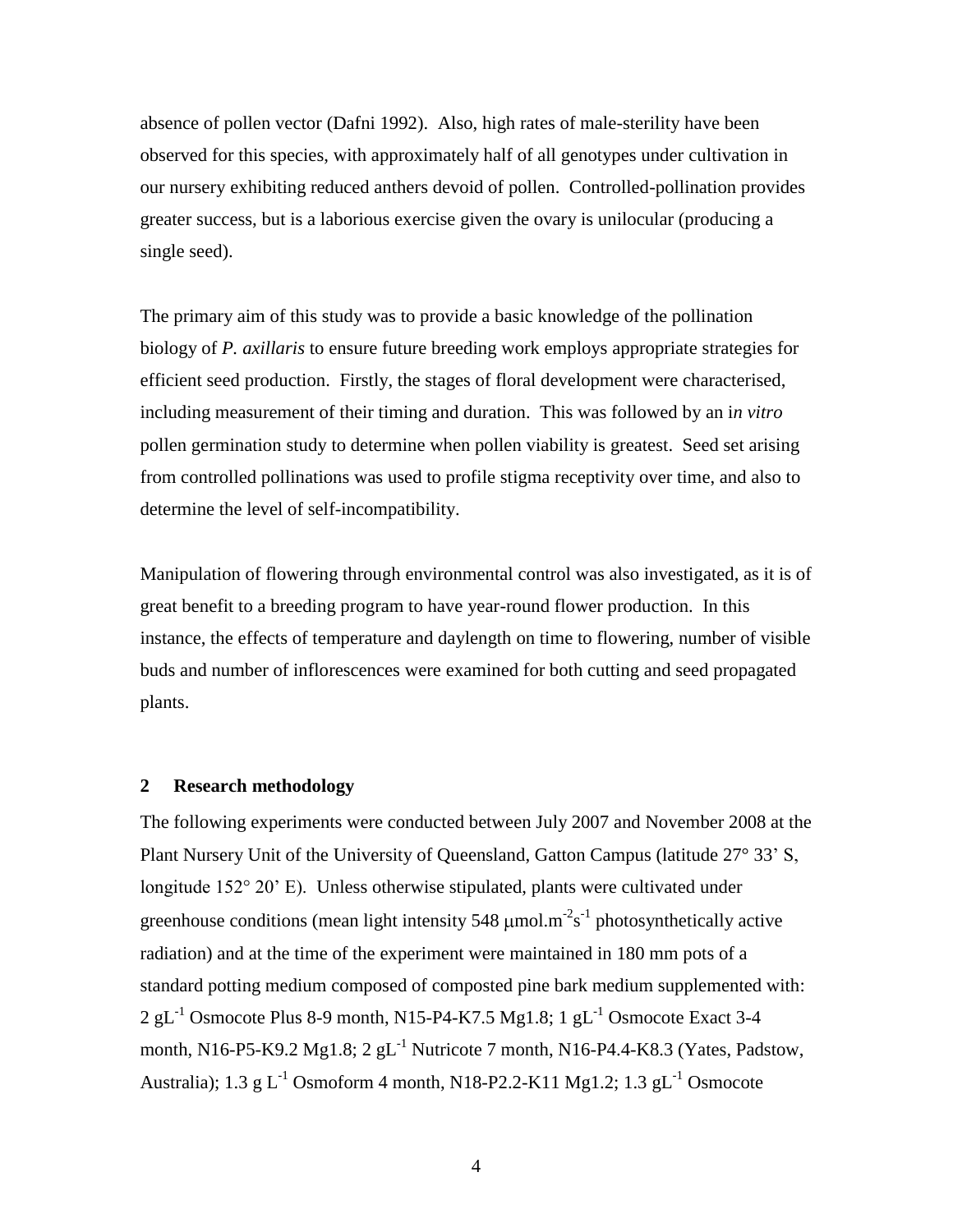absence of pollen vector (Dafni 1992). Also, high rates of male-sterility have been observed for this species, with approximately half of all genotypes under cultivation in our nursery exhibiting reduced anthers devoid of pollen. Controlled-pollination provides greater success, but is a laborious exercise given the ovary is unilocular (producing a single seed).

The primary aim of this study was to provide a basic knowledge of the pollination biology of *P. axillaris* to ensure future breeding work employs appropriate strategies for efficient seed production. Firstly, the stages of floral development were characterised, including measurement of their timing and duration. This was followed by an i*n vitro* pollen germination study to determine when pollen viability is greatest. Seed set arising from controlled pollinations was used to profile stigma receptivity over time, and also to determine the level of self-incompatibility.

Manipulation of flowering through environmental control was also investigated, as it is of great benefit to a breeding program to have year-round flower production. In this instance, the effects of temperature and daylength on time to flowering, number of visible buds and number of inflorescences were examined for both cutting and seed propagated plants.

#### **2 Research methodology**

The following experiments were conducted between July 2007 and November 2008 at the Plant Nursery Unit of the University of Queensland, Gatton Campus (latitude 27° 33' S, longitude 152° 20' E). Unless otherwise stipulated, plants were cultivated under greenhouse conditions (mean light intensity 548  $\mu$ mol.m<sup>-2</sup>s<sup>-1</sup> photosynthetically active radiation) and at the time of the experiment were maintained in 180 mm pots of a standard potting medium composed of composted pine bark medium supplemented with:  $2 \text{ gL}^{-1}$  Osmocote Plus 8-9 month, N15-P4-K7.5 Mg1.8; 1 gL<sup>-1</sup> Osmocote Exact 3-4 month, N16-P5-K9.2 Mg1.8;  $2 \text{ gL}^{-1}$  Nutricote 7 month, N16-P4.4-K8.3 (Yates, Padstow, Australia); 1.3 g L<sup>-1</sup> Osmoform 4 month, N18-P2.2-K11 Mg1.2; 1.3 gL<sup>-1</sup> Osmocote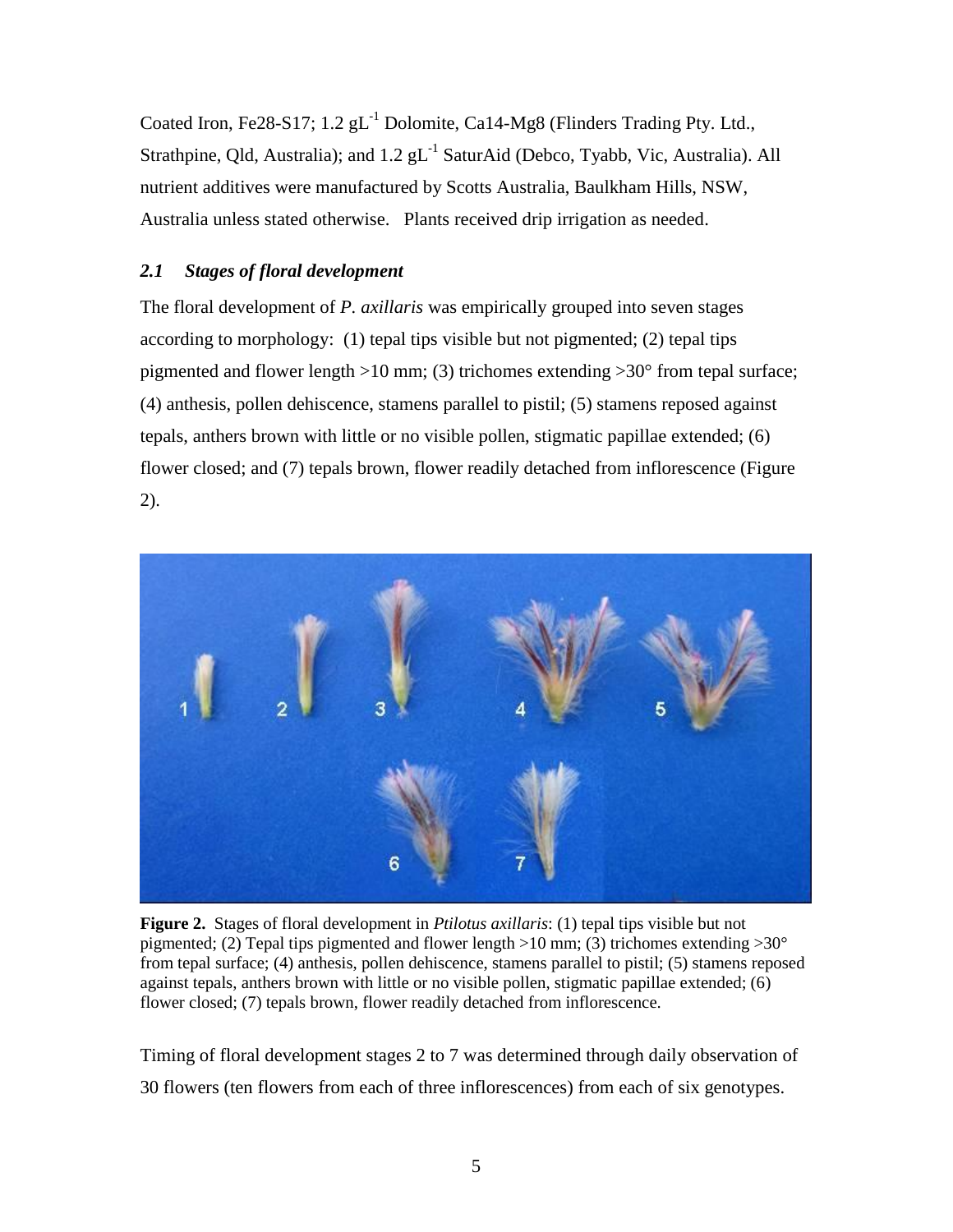Coated Iron, Fe28-S17;  $1.2$   $gL^{-1}$  Dolomite, Ca14-Mg8 (Flinders Trading Pty. Ltd., Strathpine, Qld, Australia); and 1.2  $gL^{-1}$  SaturAid (Debco, Tyabb, Vic, Australia). All nutrient additives were manufactured by Scotts Australia, Baulkham Hills, NSW, Australia unless stated otherwise. Plants received drip irrigation as needed.

# *2.1 Stages of floral development*

The floral development of *P. axillaris* was empirically grouped into seven stages according to morphology: (1) tepal tips visible but not pigmented; (2) tepal tips pigmented and flower length >10 mm; (3) trichomes extending >30° from tepal surface; (4) anthesis, pollen dehiscence, stamens parallel to pistil; (5) stamens reposed against tepals, anthers brown with little or no visible pollen, stigmatic papillae extended; (6) flower closed; and (7) tepals brown, flower readily detached from inflorescence [\(Figure](#page-4-0)  [2\)](#page-4-0).



**Figure 2.** Stages of floral development in *Ptilotus axillaris*: (1) tepal tips visible but not pigmented; (2) Tepal tips pigmented and flower length  $>10$  mm; (3) trichomes extending  $>30^{\circ}$ from tepal surface; (4) anthesis, pollen dehiscence, stamens parallel to pistil; (5) stamens reposed against tepals, anthers brown with little or no visible pollen, stigmatic papillae extended; (6) flower closed; (7) tepals brown, flower readily detached from inflorescence.

<span id="page-4-0"></span>Timing of floral development stages 2 to 7 was determined through daily observation of 30 flowers (ten flowers from each of three inflorescences) from each of six genotypes.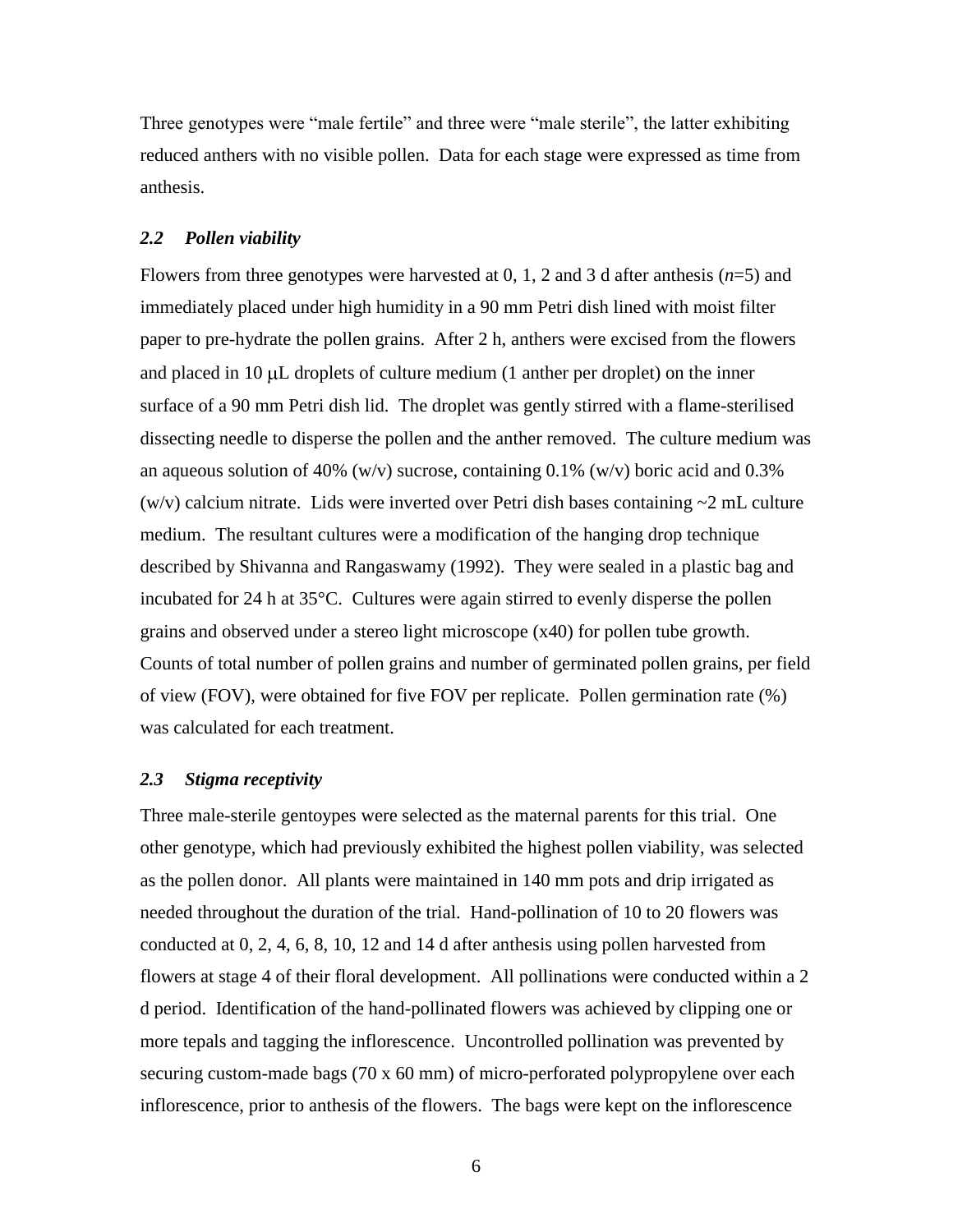Three genotypes were "male fertile" and three were "male sterile", the latter exhibiting reduced anthers with no visible pollen. Data for each stage were expressed as time from anthesis.

### *2.2 Pollen viability*

Flowers from three genotypes were harvested at 0, 1, 2 and 3 d after anthesis (*n*=5) and immediately placed under high humidity in a 90 mm Petri dish lined with moist filter paper to pre-hydrate the pollen grains. After 2 h, anthers were excised from the flowers and placed in  $10 \mu L$  droplets of culture medium (1 anther per droplet) on the inner surface of a 90 mm Petri dish lid. The droplet was gently stirred with a flame-sterilised dissecting needle to disperse the pollen and the anther removed. The culture medium was an aqueous solution of 40% (w/v) sucrose, containing 0.1% (w/v) boric acid and  $0.3\%$ (w/v) calcium nitrate. Lids were inverted over Petri dish bases containing  $\sim$ 2 mL culture medium. The resultant cultures were a modification of the hanging drop technique described by Shivanna and Rangaswamy (1992). They were sealed in a plastic bag and incubated for 24 h at 35°C. Cultures were again stirred to evenly disperse the pollen grains and observed under a stereo light microscope (x40) for pollen tube growth. Counts of total number of pollen grains and number of germinated pollen grains, per field of view (FOV), were obtained for five FOV per replicate. Pollen germination rate (%) was calculated for each treatment.

#### *2.3 Stigma receptivity*

Three male-sterile gentoypes were selected as the maternal parents for this trial. One other genotype, which had previously exhibited the highest pollen viability, was selected as the pollen donor. All plants were maintained in 140 mm pots and drip irrigated as needed throughout the duration of the trial. Hand-pollination of 10 to 20 flowers was conducted at 0, 2, 4, 6, 8, 10, 12 and 14 d after anthesis using pollen harvested from flowers at stage 4 of their floral development. All pollinations were conducted within a 2 d period. Identification of the hand-pollinated flowers was achieved by clipping one or more tepals and tagging the inflorescence. Uncontrolled pollination was prevented by securing custom-made bags (70 x 60 mm) of micro-perforated polypropylene over each inflorescence, prior to anthesis of the flowers. The bags were kept on the inflorescence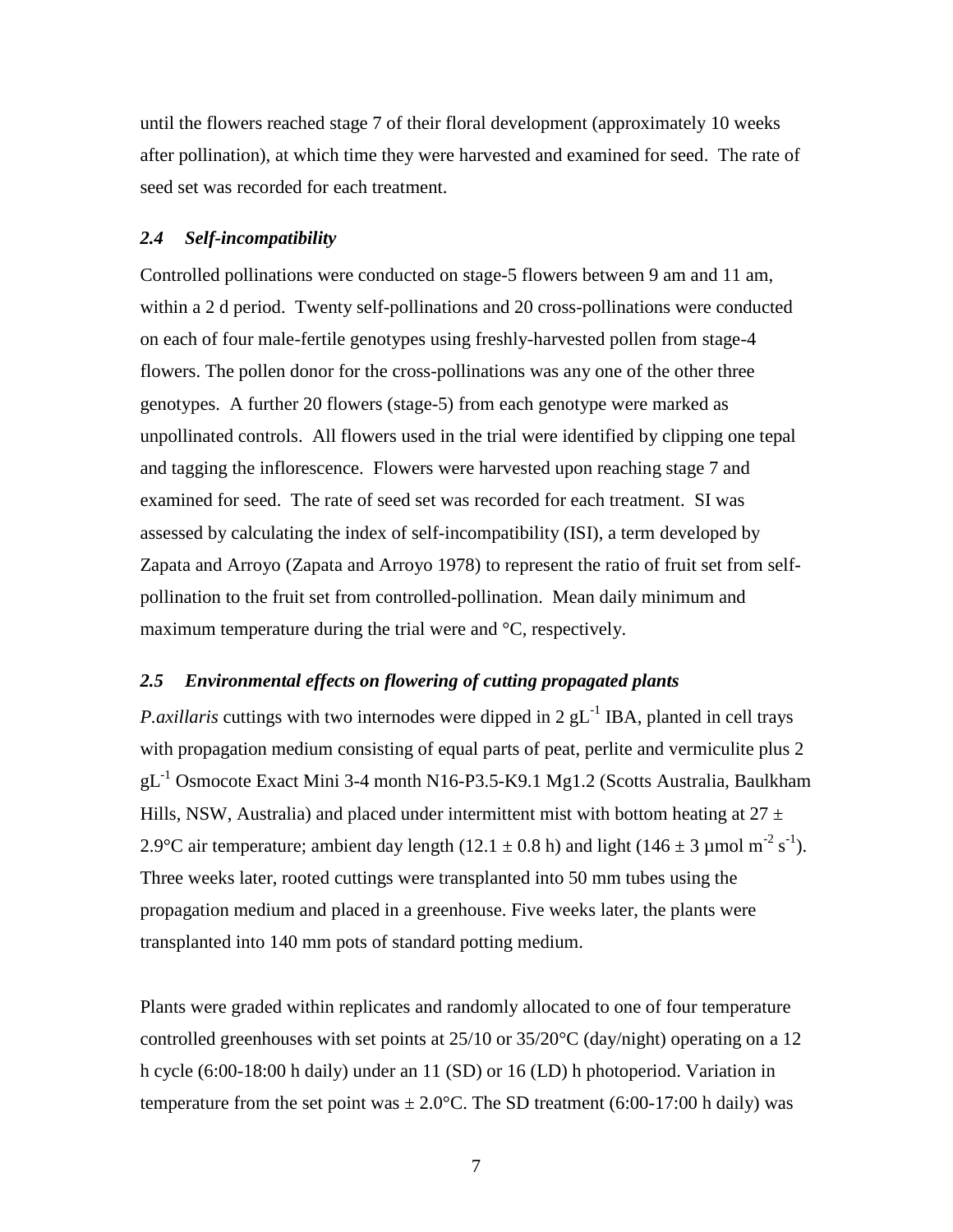until the flowers reached stage 7 of their floral development (approximately 10 weeks after pollination), at which time they were harvested and examined for seed. The rate of seed set was recorded for each treatment.

### <span id="page-6-1"></span>*2.4 Self-incompatibility*

Controlled pollinations were conducted on stage-5 flowers between 9 am and 11 am, within a 2 d period. Twenty self-pollinations and 20 cross-pollinations were conducted on each of four male-fertile genotypes using freshly-harvested pollen from stage-4 flowers. The pollen donor for the cross-pollinations was any one of the other three genotypes. A further 20 flowers (stage-5) from each genotype were marked as unpollinated controls. All flowers used in the trial were identified by clipping one tepal and tagging the inflorescence. Flowers were harvested upon reaching stage 7 and examined for seed. The rate of seed set was recorded for each treatment. SI was assessed by calculating the index of self-incompatibility (ISI), a term developed by Zapata and Arroyo (Zapata and Arroyo 1978) to represent the ratio of fruit set from selfpollination to the fruit set from controlled-pollination. Mean daily minimum and maximum temperature during the trial were and °C, respectively.

#### <span id="page-6-0"></span>*2.5 Environmental effects on flowering of cutting propagated plants*

*P.axillaris* cuttings with two internodes were dipped in  $2 \text{ gL}^{-1}$  IBA, planted in cell trays with propagation medium consisting of equal parts of peat, perlite and vermiculite plus 2 gL-1 Osmocote Exact Mini 3-4 month N16-P3.5-K9.1 Mg1.2 (Scotts Australia, Baulkham Hills, NSW, Australia) and placed under intermittent mist with bottom heating at  $27 \pm$ 2.9°C air temperature; ambient day length (12.1  $\pm$  0.8 h) and light (146  $\pm$  3 µmol m<sup>-2</sup> s<sup>-1</sup>). Three weeks later, rooted cuttings were transplanted into 50 mm tubes using the propagation medium and placed in a greenhouse. Five weeks later, the plants were transplanted into 140 mm pots of standard potting medium.

Plants were graded within replicates and randomly allocated to one of four temperature controlled greenhouses with set points at 25/10 or 35/20°C (day/night) operating on a 12 h cycle (6:00-18:00 h daily) under an 11 (SD) or 16 (LD) h photoperiod. Variation in temperature from the set point was  $\pm 2.0$ °C. The SD treatment (6:00-17:00 h daily) was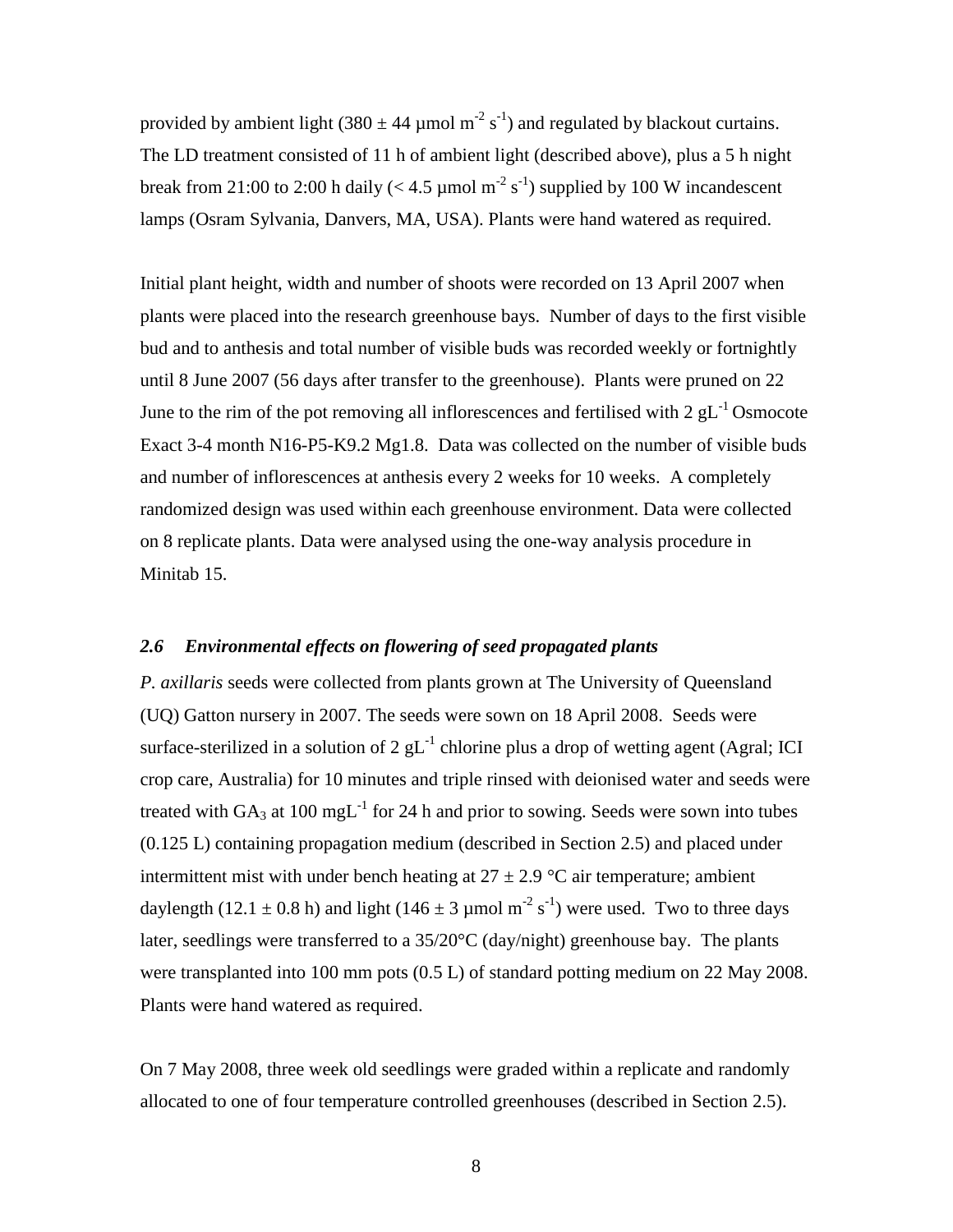provided by ambient light (380  $\pm$  44 µmol m<sup>-2</sup> s<sup>-1</sup>) and regulated by blackout curtains. The LD treatment consisted of 11 h of ambient light (described above), plus a 5 h night break from 21:00 to 2:00 h daily ( $<$  4.5 µmol m<sup>-2</sup> s<sup>-1</sup>) supplied by 100 W incandescent lamps (Osram Sylvania, Danvers, MA, USA). Plants were hand watered as required.

Initial plant height, width and number of shoots were recorded on 13 April 2007 when plants were placed into the research greenhouse bays. Number of days to the first visible bud and to anthesis and total number of visible buds was recorded weekly or fortnightly until 8 June 2007 (56 days after transfer to the greenhouse). Plants were pruned on 22 June to the rim of the pot removing all inflorescences and fertilised with  $2 \text{ gL}^{-1}$  Osmocote Exact 3-4 month N16-P5-K9.2 Mg1.8. Data was collected on the number of visible buds and number of inflorescences at anthesis every 2 weeks for 10 weeks. A completely randomized design was used within each greenhouse environment. Data were collected on 8 replicate plants. Data were analysed using the one-way analysis procedure in Minitab 15.

# *2.6 Environmental effects on flowering of seed propagated plants*

*P. axillaris* seeds were collected from plants grown at The University of Queensland (UQ) Gatton nursery in 2007. The seeds were sown on 18 April 2008. Seeds were surface-sterilized in a solution of 2  $gL^{-1}$  chlorine plus a drop of wetting agent (Agral; ICI crop care, Australia) for 10 minutes and triple rinsed with deionised water and seeds were treated with  $GA_3$  at 100 mgL<sup>-1</sup> for 24 h and prior to sowing. Seeds were sown into tubes (0.125 L) containing propagation medium (described in Section [2.5\)](#page-6-0) and placed under intermittent mist with under bench heating at  $27 \pm 2.9$  °C air temperature; ambient daylength (12.1  $\pm$  0.8 h) and light (146  $\pm$  3 µmol m<sup>-2</sup> s<sup>-1</sup>) were used. Two to three days later, seedlings were transferred to a 35/20°C (day/night) greenhouse bay. The plants were transplanted into 100 mm pots (0.5 L) of standard potting medium on 22 May 2008. Plants were hand watered as required.

On 7 May 2008, three week old seedlings were graded within a replicate and randomly allocated to one of four temperature controlled greenhouses (described in Section [2.5\)](#page-6-0).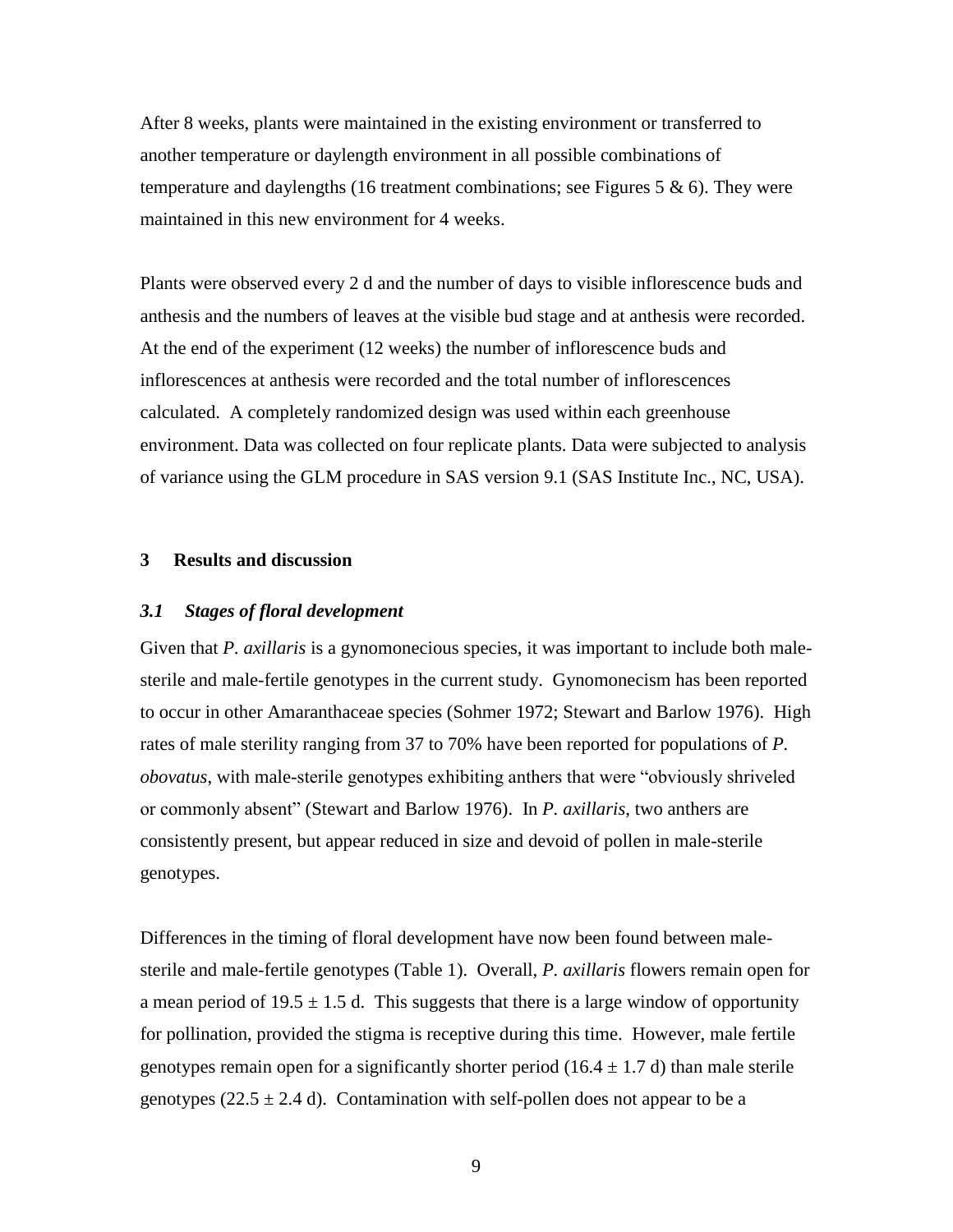After 8 weeks, plants were maintained in the existing environment or transferred to another temperature or daylength environment in all possible combinations of temperature and daylengths (16 treatment combinations; see Figures 5  $\&$  6). They were maintained in this new environment for 4 weeks.

Plants were observed every 2 d and the number of days to visible inflorescence buds and anthesis and the numbers of leaves at the visible bud stage and at anthesis were recorded. At the end of the experiment (12 weeks) the number of inflorescence buds and inflorescences at anthesis were recorded and the total number of inflorescences calculated. A completely randomized design was used within each greenhouse environment. Data was collected on four replicate plants. Data were subjected to analysis of variance using the GLM procedure in SAS version 9.1 (SAS Institute Inc., NC, USA).

# **3 Results and discussion**

#### <span id="page-8-0"></span>*3.1 Stages of floral development*

Given that *P. axillaris* is a gynomonecious species, it was important to include both malesterile and male-fertile genotypes in the current study. Gynomonecism has been reported to occur in other Amaranthaceae species (Sohmer 1972; Stewart and Barlow 1976). High rates of male sterility ranging from 37 to 70% have been reported for populations of *P. obovatus*, with male-sterile genotypes exhibiting anthers that were "obviously shriveled or commonly absent" (Stewart and Barlow 1976). In *P. axillaris*, two anthers are consistently present, but appear reduced in size and devoid of pollen in male-sterile genotypes.

Differences in the timing of floral development have now been found between malesterile and male-fertile genotypes [\(Table 1\)](#page-9-0). Overall, *P. axillaris* flowers remain open for a mean period of  $19.5 \pm 1.5$  d. This suggests that there is a large window of opportunity for pollination, provided the stigma is receptive during this time. However, male fertile genotypes remain open for a significantly shorter period (16.4  $\pm$  1.7 d) than male sterile genotypes (22.5  $\pm$  2.4 d). Contamination with self-pollen does not appear to be a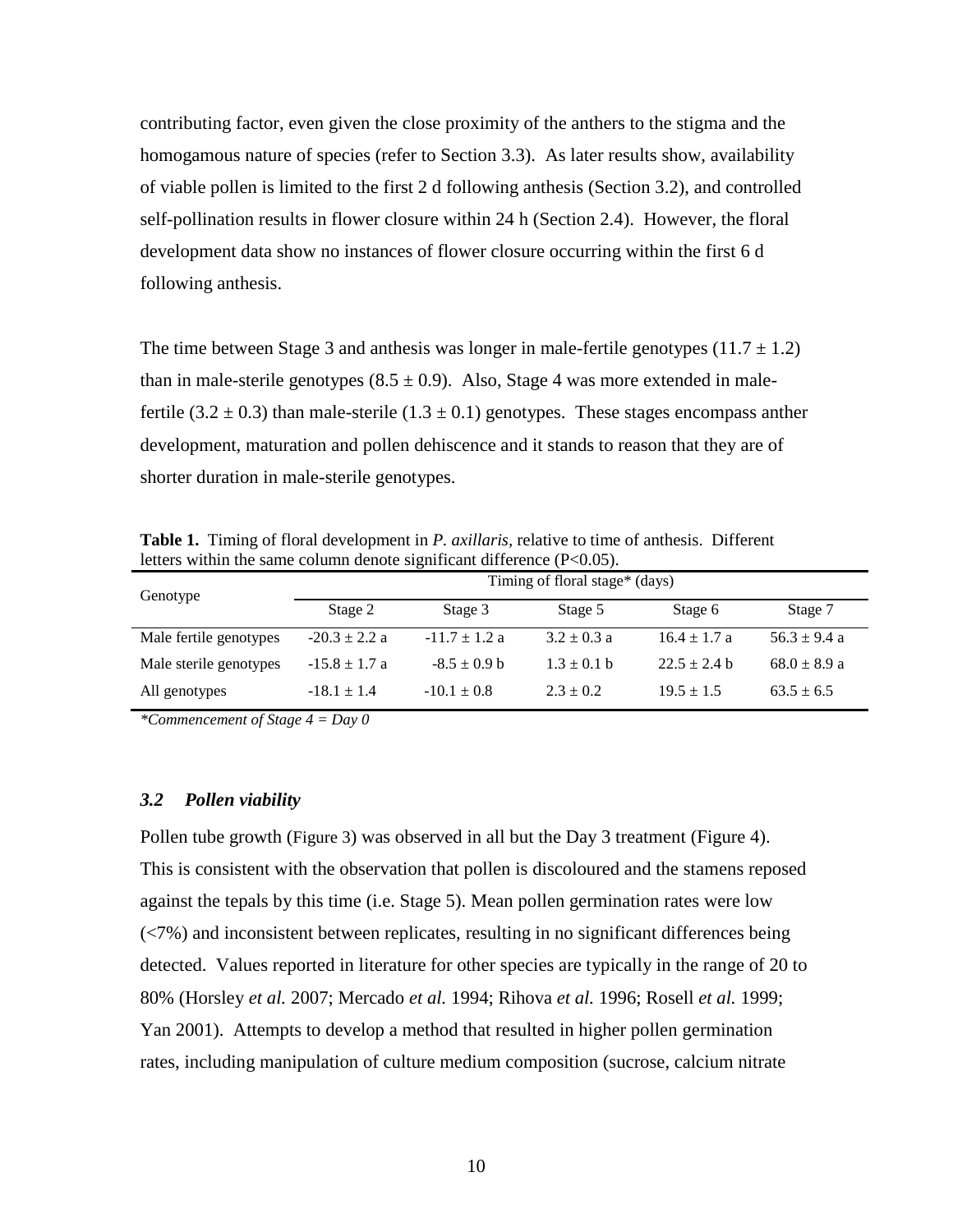contributing factor, even given the close proximity of the anthers to the stigma and the homogamous nature of species (refer to Section [3.3\)](#page-11-0). As later results show, availability of viable pollen is limited to the first 2 d following anthesis (Section [3.2\)](#page-9-1), and controlled self-pollination results in flower closure within 24 h (Section [2.4\)](#page-6-1). However, the floral development data show no instances of flower closure occurring within the first 6 d following anthesis.

The time between Stage 3 and anthesis was longer in male-fertile genotypes  $(11.7 \pm 1.2)$ than in male-sterile genotypes  $(8.5 \pm 0.9)$ . Also, Stage 4 was more extended in malefertile (3.2  $\pm$  0.3) than male-sterile (1.3  $\pm$  0.1) genotypes. These stages encompass anther development, maturation and pollen dehiscence and it stands to reason that they are of shorter duration in male-sterile genotypes.

<span id="page-9-0"></span>**Table 1.** Timing of floral development in *P. axillaris,* relative to time of anthesis. Different letters within the same column denote significant difference (P<0.05).

| Genotype               | Timing of floral stage* (days) |                   |                 |                  |                  |  |
|------------------------|--------------------------------|-------------------|-----------------|------------------|------------------|--|
|                        | Stage 2                        | Stage 3           | Stage 5         | Stage 6          | Stage 7          |  |
| Male fertile genotypes | $-20.3 \pm 2.2$ a              | $-11.7 \pm 1.2$ a | $3.2 \pm 0.3$ a | $16.4 \pm 1.7$ a | $56.3 \pm 9.4$ a |  |
| Male sterile genotypes | $-15.8 \pm 1.7$ a              | $-8.5 \pm 0.9$ b  | $1.3 \pm 0.1$ b | $22.5 + 2.4 h$   | $68.0 \pm 8.9$ a |  |
| All genotypes          | $-18.1 \pm 1.4$                | $-10.1 \pm 0.8$   | $2.3 \pm 0.2$   | $19.5 \pm 1.5$   | $63.5 \pm 6.5$   |  |

*\*Commencement of Stage 4 = Day 0*

#### <span id="page-9-1"></span>*3.2 Pollen viability*

Pollen tube growth ([Figure 3](#page-10-0)) was observed in all but the Day 3 treatment [\(Figure 4\)](#page-11-1). This is consistent with the observation that pollen is discoloured and the stamens reposed against the tepals by this time (i.e. Stage 5). Mean pollen germination rates were low (<7%) and inconsistent between replicates, resulting in no significant differences being detected. Values reported in literature for other species are typically in the range of 20 to 80% (Horsley *et al.* 2007; Mercado *et al.* 1994; Rihova *et al.* 1996; Rosell *et al.* 1999; Yan 2001). Attempts to develop a method that resulted in higher pollen germination rates, including manipulation of culture medium composition (sucrose, calcium nitrate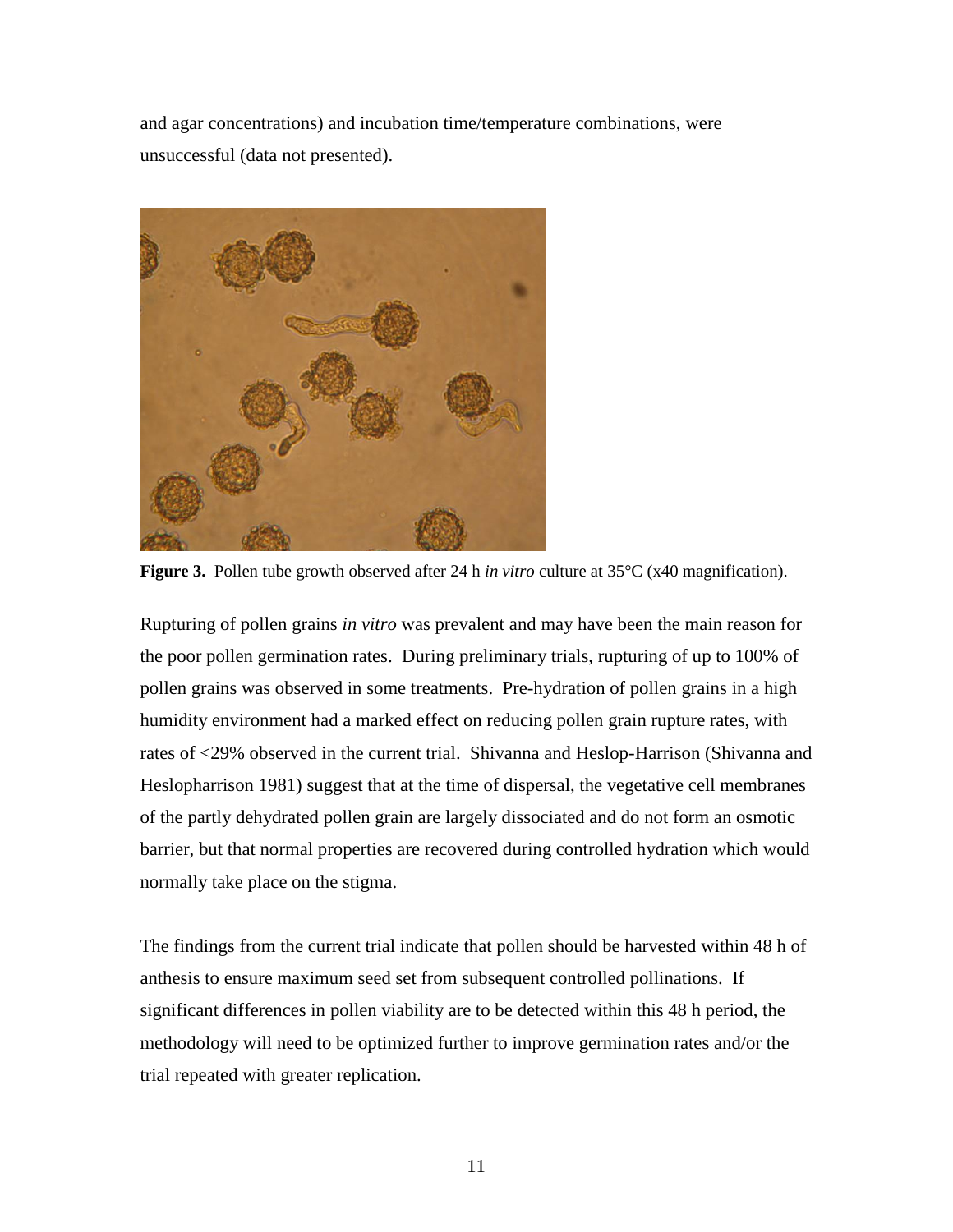and agar concentrations) and incubation time/temperature combinations, were unsuccessful (data not presented).



**Figure 3.** Pollen tube growth observed after 24 h *in vitro* culture at 35°C (x40 magnification).

<span id="page-10-0"></span>Rupturing of pollen grains *in vitro* was prevalent and may have been the main reason for the poor pollen germination rates. During preliminary trials, rupturing of up to 100% of pollen grains was observed in some treatments. Pre-hydration of pollen grains in a high humidity environment had a marked effect on reducing pollen grain rupture rates, with rates of <29% observed in the current trial. Shivanna and Heslop-Harrison (Shivanna and Heslopharrison 1981) suggest that at the time of dispersal, the vegetative cell membranes of the partly dehydrated pollen grain are largely dissociated and do not form an osmotic barrier, but that normal properties are recovered during controlled hydration which would normally take place on the stigma.

The findings from the current trial indicate that pollen should be harvested within 48 h of anthesis to ensure maximum seed set from subsequent controlled pollinations. If significant differences in pollen viability are to be detected within this 48 h period, the methodology will need to be optimized further to improve germination rates and/or the trial repeated with greater replication.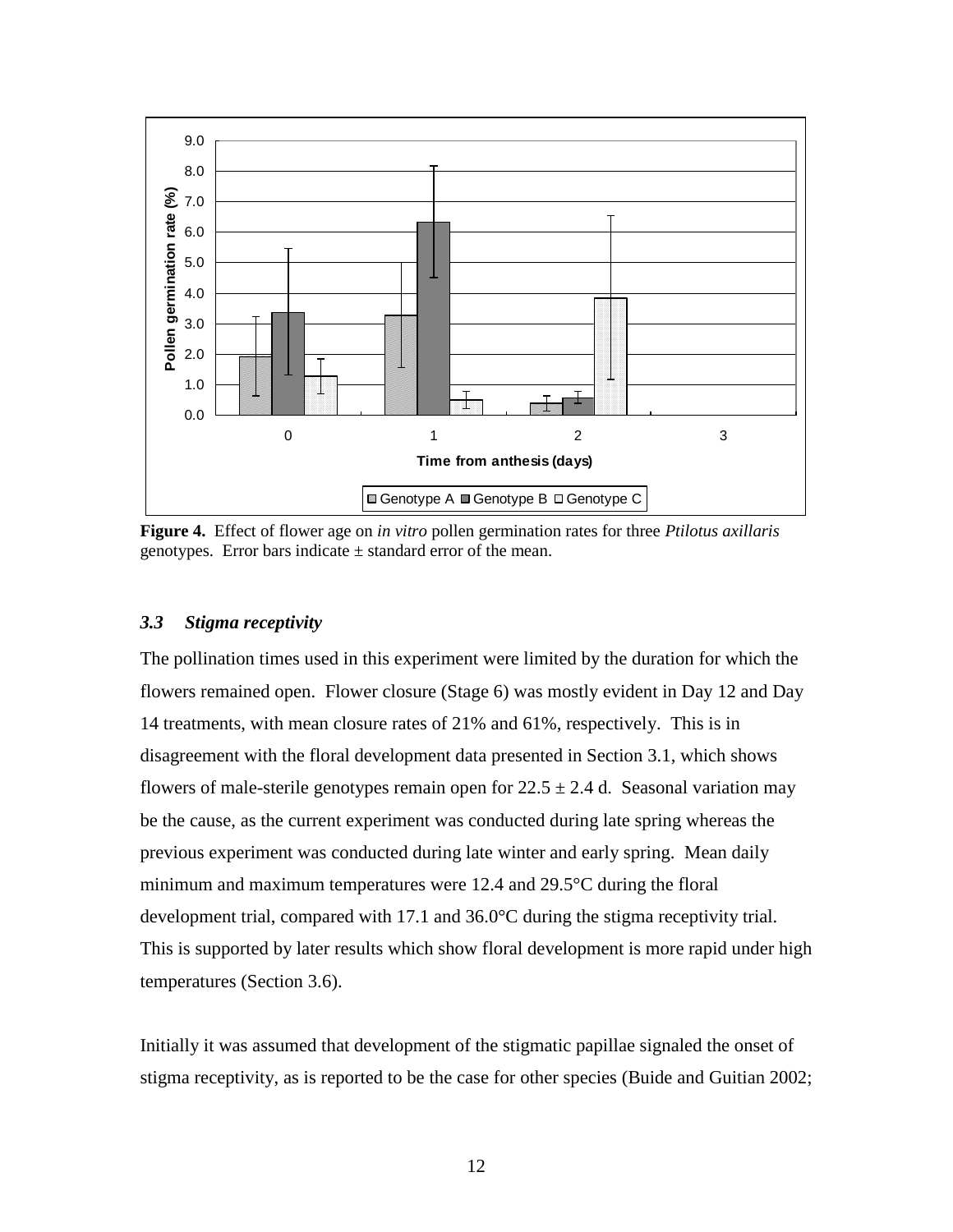

<span id="page-11-1"></span>**Figure 4.** Effect of flower age on *in vitro* pollen germination rates for three *Ptilotus axillaris* genotypes. Error bars indicate  $\pm$  standard error of the mean.

# <span id="page-11-0"></span>*3.3 Stigma receptivity*

The pollination times used in this experiment were limited by the duration for which the flowers remained open. Flower closure (Stage 6) was mostly evident in Day 12 and Day 14 treatments, with mean closure rates of 21% and 61%, respectively. This is in disagreement with the floral development data presented in Section [3.1,](#page-8-0) which shows flowers of male-sterile genotypes remain open for  $22.5 \pm 2.4$  d. Seasonal variation may be the cause, as the current experiment was conducted during late spring whereas the previous experiment was conducted during late winter and early spring. Mean daily minimum and maximum temperatures were 12.4 and 29.5°C during the floral development trial, compared with 17.1 and 36.0°C during the stigma receptivity trial. This is supported by later results which show floral development is more rapid under high temperatures (Section [3.6\)](#page-15-0).

Initially it was assumed that development of the stigmatic papillae signaled the onset of stigma receptivity, as is reported to be the case for other species (Buide and Guitian 2002;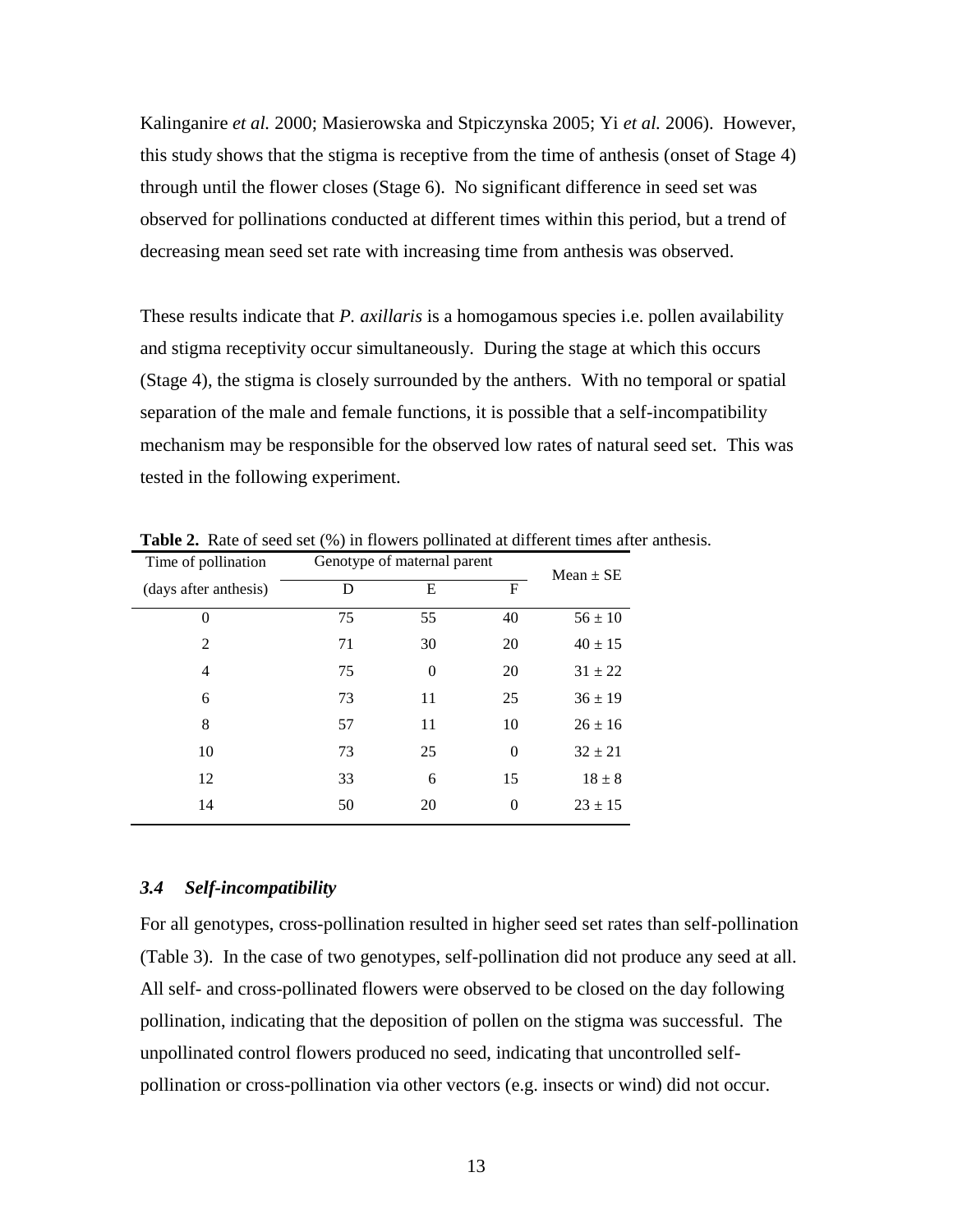Kalinganire *et al.* 2000; Masierowska and Stpiczynska 2005; Yi *et al.* 2006). However, this study shows that the stigma is receptive from the time of anthesis (onset of Stage 4) through until the flower closes (Stage 6). No significant difference in seed set was observed for pollinations conducted at different times within this period, but a trend of decreasing mean seed set rate with increasing time from anthesis was observed.

These results indicate that *P. axillaris* is a homogamous species i.e. pollen availability and stigma receptivity occur simultaneously. During the stage at which this occurs (Stage 4), the stigma is closely surrounded by the anthers. With no temporal or spatial separation of the male and female functions, it is possible that a self-incompatibility mechanism may be responsible for the observed low rates of natural seed set. This was tested in the following experiment.

| Time of pollination   | Genotype of maternal parent |                |          | Mean $\pm$ SE |
|-----------------------|-----------------------------|----------------|----------|---------------|
| (days after anthesis) | D                           | Е              | F        |               |
| $\Omega$              | 75                          | 55             | 40       | $56 \pm 10$   |
| $\overline{2}$        | 71                          | 30             | 20       | $40 \pm 15$   |
| $\overline{4}$        | 75                          | $\overline{0}$ | 20       | $31 \pm 22$   |
| 6                     | 73                          | 11             | 25       | $36 \pm 19$   |
| 8                     | 57                          | 11             | 10       | $26 \pm 16$   |
| 10                    | 73                          | 25             | $\Omega$ | $32 \pm 21$   |
| 12                    | 33                          | 6              | 15       | $18 \pm 8$    |
| 14                    | 50                          | 20             | $\Omega$ | $23 \pm 15$   |

**Table 2.** Rate of seed set (%) in flowers pollinated at different times after anthesis.

#### *3.4 Self-incompatibility*

For all genotypes, cross-pollination resulted in higher seed set rates than self-pollination [\(Table 3\)](#page-13-0). In the case of two genotypes, self-pollination did not produce any seed at all. All self- and cross-pollinated flowers were observed to be closed on the day following pollination, indicating that the deposition of pollen on the stigma was successful. The unpollinated control flowers produced no seed, indicating that uncontrolled selfpollination or cross-pollination via other vectors (e.g. insects or wind) did not occur.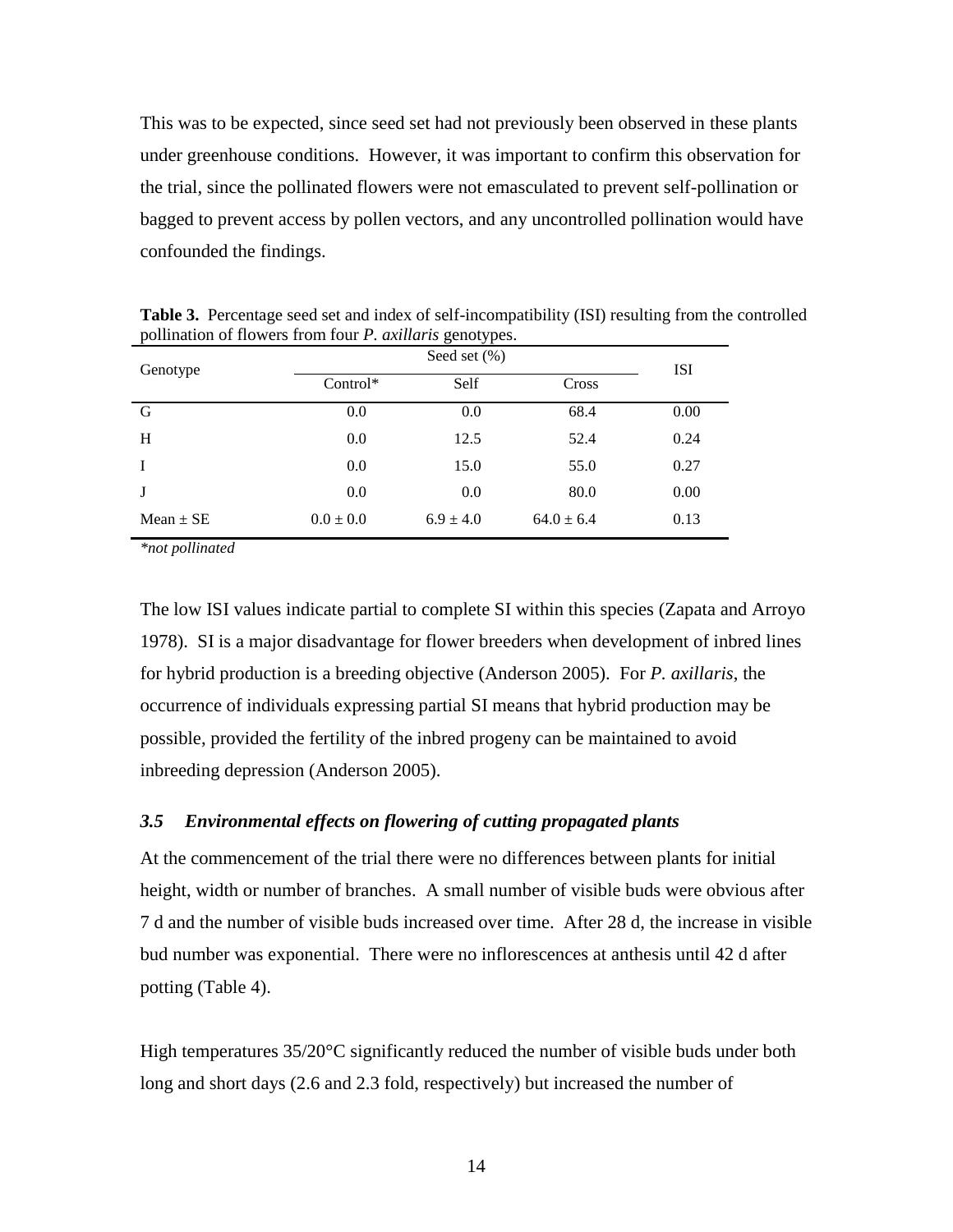This was to be expected, since seed set had not previously been observed in these plants under greenhouse conditions. However, it was important to confirm this observation for the trial, since the pollinated flowers were not emasculated to prevent self-pollination or bagged to prevent access by pollen vectors, and any uncontrolled pollination would have confounded the findings.

| Genotype      |               | <b>ISI</b>    |                |      |
|---------------|---------------|---------------|----------------|------|
|               | $Control*$    | Self          | Cross          |      |
| G             | 0.0           | 0.0           | 68.4           | 0.00 |
| H             | 0.0           | 12.5          | 52.4           | 0.24 |
|               | 0.0           | 15.0          | 55.0           | 0.27 |
| J             | 0.0           | 0.0           | 80.0           | 0.00 |
| $Mean \pm SE$ | $0.0 \pm 0.0$ | $6.9 \pm 4.0$ | $64.0 \pm 6.4$ | 0.13 |

<span id="page-13-0"></span>**Table 3.** Percentage seed set and index of self-incompatibility (ISI) resulting from the controlled pollination of flowers from four *P. axillaris* genotypes.

*\*not pollinated*

The low ISI values indicate partial to complete SI within this species (Zapata and Arroyo 1978). SI is a major disadvantage for flower breeders when development of inbred lines for hybrid production is a breeding objective (Anderson 2005). For *P. axillaris*, the occurrence of individuals expressing partial SI means that hybrid production may be possible, provided the fertility of the inbred progeny can be maintained to avoid inbreeding depression (Anderson 2005).

### *3.5 Environmental effects on flowering of cutting propagated plants*

At the commencement of the trial there were no differences between plants for initial height, width or number of branches. A small number of visible buds were obvious after 7 d and the number of visible buds increased over time. After 28 d, the increase in visible bud number was exponential. There were no inflorescences at anthesis until 42 d after potting [\(Table 4\)](#page-14-0).

High temperatures  $35/20^{\circ}$ C significantly reduced the number of visible buds under both long and short days (2.6 and 2.3 fold, respectively) but increased the number of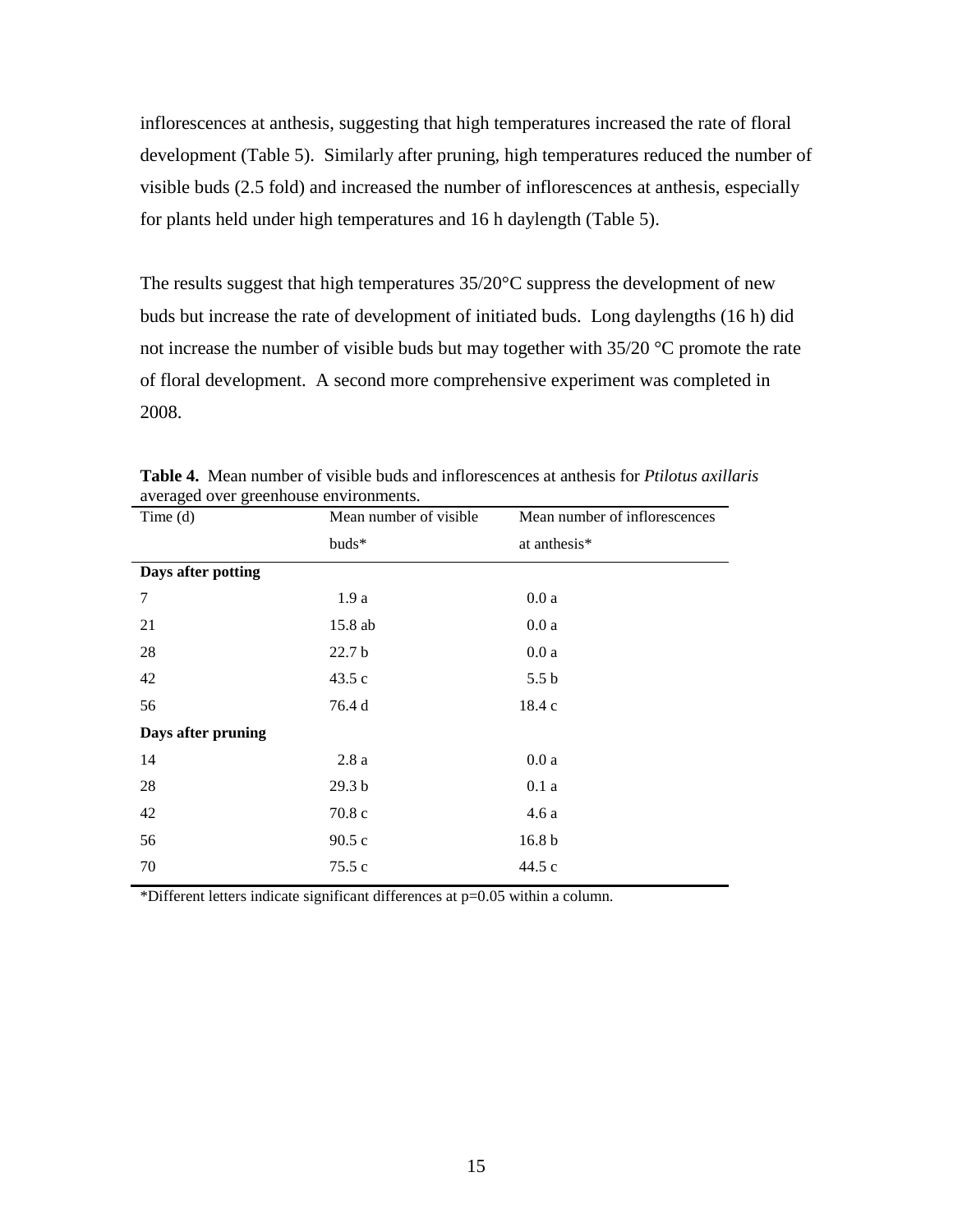inflorescences at anthesis, suggesting that high temperatures increased the rate of floral development (Table 5). Similarly after pruning, high temperatures reduced the number of visible buds (2.5 fold) and increased the number of inflorescences at anthesis, especially for plants held under high temperatures and 16 h daylength [\(Table 5\)](#page-15-1).

The results suggest that high temperatures 35/20°C suppress the development of new buds but increase the rate of development of initiated buds. Long daylengths (16 h) did not increase the number of visible buds but may together with 35/20 °C promote the rate of floral development. A second more comprehensive experiment was completed in 2008.

| averaged over greenhouse environments.<br>Time $(d)$<br>Mean number of visible<br>Mean number of inflorescences |                   |                   |  |  |  |
|-----------------------------------------------------------------------------------------------------------------|-------------------|-------------------|--|--|--|
|                                                                                                                 |                   |                   |  |  |  |
|                                                                                                                 | buds*             | at anthesis*      |  |  |  |
| Days after potting                                                                                              |                   |                   |  |  |  |
| $\tau$                                                                                                          | 1.9a              | 0.0a              |  |  |  |
| 21                                                                                                              | 15.8 ab           | 0.0a              |  |  |  |
| 28                                                                                                              | 22.7 <sub>b</sub> | 0.0a              |  |  |  |
| 42                                                                                                              | 43.5c             | 5.5 <sub>b</sub>  |  |  |  |
| 56                                                                                                              | 76.4 d            | 18.4 c            |  |  |  |
| Days after pruning                                                                                              |                   |                   |  |  |  |
| 14                                                                                                              | 2.8a              | 0.0a              |  |  |  |
| 28                                                                                                              | 29.3 <sub>b</sub> | 0.1a              |  |  |  |
| 42                                                                                                              | 70.8 c            | 4.6 a             |  |  |  |
| 56                                                                                                              | 90.5c             | 16.8 <sub>b</sub> |  |  |  |
| 70                                                                                                              | 75.5 c            | 44.5 c            |  |  |  |
|                                                                                                                 |                   |                   |  |  |  |

<span id="page-14-0"></span>**Table 4.** Mean number of visible buds and inflorescences at anthesis for *Ptilotus axillaris* averaged over greenhouse environments.

\*Different letters indicate significant differences at p=0.05 within a column.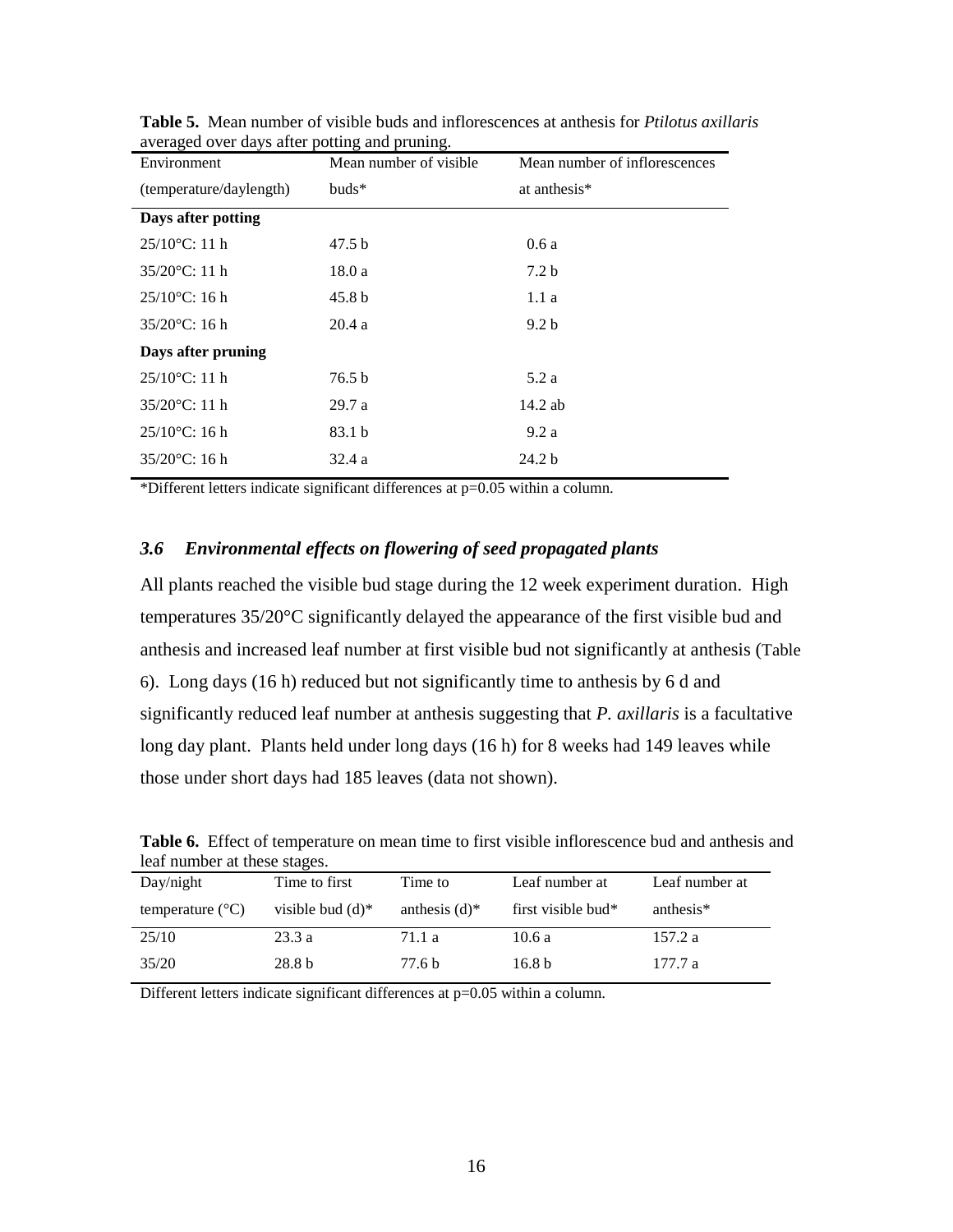| Environment             | Mean number of visible | Mean number of inflorescences |
|-------------------------|------------------------|-------------------------------|
| (temperature/daylength) | $buds*$                | at anthesis <sup>*</sup>      |
| Days after potting      |                        |                               |
| $25/10$ °C: 11 h        | 47.5 b                 | 0.6a                          |
| $35/20$ °C: 11 h        | 18.0 a                 | 7.2 <sub>b</sub>              |
| $25/10$ °C: 16 h        | 45.8 <sub>b</sub>      | 1.1a                          |
| $35/20$ °C: 16 h        | 20.4a                  | 9.2 <sub>b</sub>              |
| Days after pruning      |                        |                               |
| $25/10$ °C: 11 h        | 76.5 b                 | 5.2a                          |
| $35/20$ °C: 11 h        | 29.7a                  | 14.2 ab                       |
| $25/10$ °C: 16 h        | 83.1 b                 | 9.2a                          |
| $35/20$ °C: 16 h        | 32.4a                  | 24.2 <sub>b</sub>             |

<span id="page-15-1"></span>**Table 5.** Mean number of visible buds and inflorescences at anthesis for *Ptilotus axillaris* averaged over days after potting and pruning.

\*Different letters indicate significant differences at p=0.05 within a column.

# <span id="page-15-0"></span>*3.6 Environmental effects on flowering of seed propagated plants*

All plants reached the visible bud stage during the 12 week experiment duration. High temperatures 35/20°C significantly delayed the appearance of the first visible bud and anthesis and increased leaf number at first visible bud not significantly at anthesis ([Table](#page-15-2)  [6](#page-15-2)). Long days (16 h) reduced but not significantly time to anthesis by 6 d and significantly reduced leaf number at anthesis suggesting that *P. axillaris* is a facultative long day plant. Plants held under long days (16 h) for 8 weeks had 149 leaves while those under short days had 185 leaves (data not shown).

| leaf number at these stages. |                     |                             |                       |                       |  |
|------------------------------|---------------------|-----------------------------|-----------------------|-----------------------|--|
| Day/night                    | Time to first       | Time to                     | Leaf number at        | Leaf number at        |  |
| temperature $(^{\circ}C)$    | visible bud $(d)^*$ | anthesis $(d)$ <sup>*</sup> | first visible bud $*$ | anthesis <sup>*</sup> |  |
| 25/10                        | 23.3a               | 71.1 a                      | 10.6a                 | 157.2 a               |  |
| 35/20                        | 28.8 b              | 77.6 b                      | 16.8 <sub>b</sub>     | 177.7 a               |  |

<span id="page-15-2"></span>**Table 6.** Effect of temperature on mean time to first visible inflorescence bud and anthesis and leaf number at these stages.

Different letters indicate significant differences at p=0.05 within a column.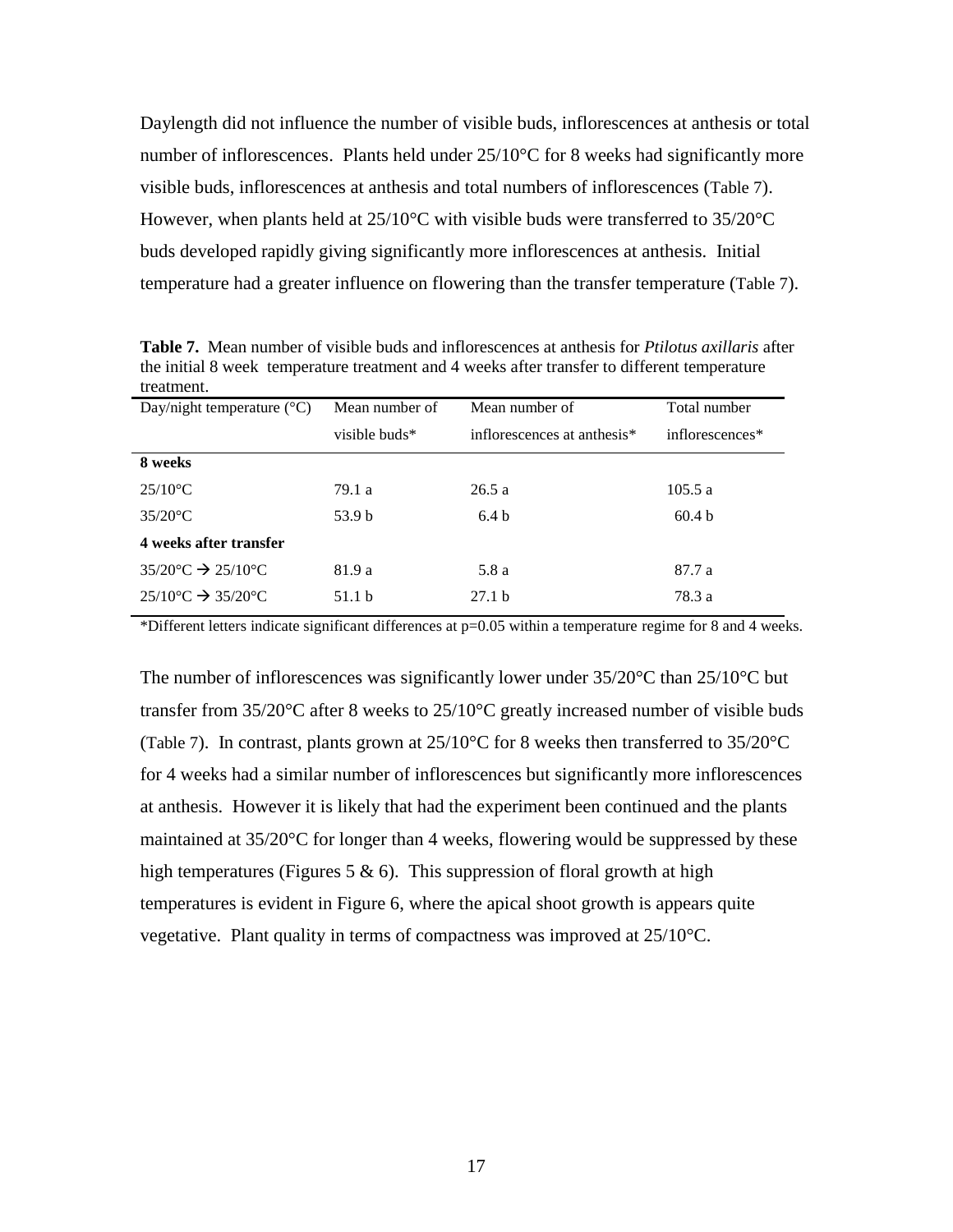Daylength did not influence the number of visible buds, inflorescences at anthesis or total number of inflorescences. Plants held under  $25/10^{\circ}$ C for 8 weeks had significantly more visible buds, inflorescences at anthesis and total numbers of inflorescences ([Table 7](#page-16-0)). However, when plants held at 25/10°C with visible buds were transferred to 35/20°C buds developed rapidly giving significantly more inflorescences at anthesis. Initial temperature had a greater influence on flowering than the transfer temperature ([Table 7](#page-16-0)).

<span id="page-16-0"></span>**Table 7.** Mean number of visible buds and inflorescences at anthesis for *Ptilotus axillaris* after the initial 8 week temperature treatment and 4 weeks after transfer to different temperature treatment.

| Day/night temperature $({}^{\circ}C)$              | Mean number of | Mean number of              | Total number      |
|----------------------------------------------------|----------------|-----------------------------|-------------------|
|                                                    | visible buds*  | inflorescences at anthesis* | inflorescences*   |
| 8 weeks                                            |                |                             |                   |
| $25/10$ <sup>o</sup> C                             | 79.1 a         | 26.5a                       | 105.5a            |
| $35/20$ °C                                         | 53.9 b         | 6.4 <sub>b</sub>            | 60.4 <sub>b</sub> |
| 4 weeks after transfer                             |                |                             |                   |
| $35/20$ °C $\rightarrow$ 25/10°C                   | 81.9 a         | 5.8 a                       | 87.7 a            |
| $25/10^{\circ}$ C $\rightarrow$ 35/20 $^{\circ}$ C | 51.1 h         | 27.1 <sub>b</sub>           | 78.3 a            |

\*Different letters indicate significant differences at p=0.05 within a temperature regime for 8 and 4 weeks.

The number of inflorescences was significantly lower under  $35/20^{\circ}$ C than  $25/10^{\circ}$ C but transfer from 35/20°C after 8 weeks to 25/10°C greatly increased number of visible buds ([Table 7](#page-16-0)). In contrast, plants grown at  $25/10^{\circ}$ C for 8 weeks then transferred to  $35/20^{\circ}$ C for 4 weeks had a similar number of inflorescences but significantly more inflorescences at anthesis. However it is likely that had the experiment been continued and the plants maintained at 35/20°C for longer than 4 weeks, flowering would be suppressed by these high temperatures (Figures 5  $\&$  6). This suppression of floral growth at high temperatures is evident in Figure 6, where the apical shoot growth is appears quite vegetative. Plant quality in terms of compactness was improved at 25/10°C.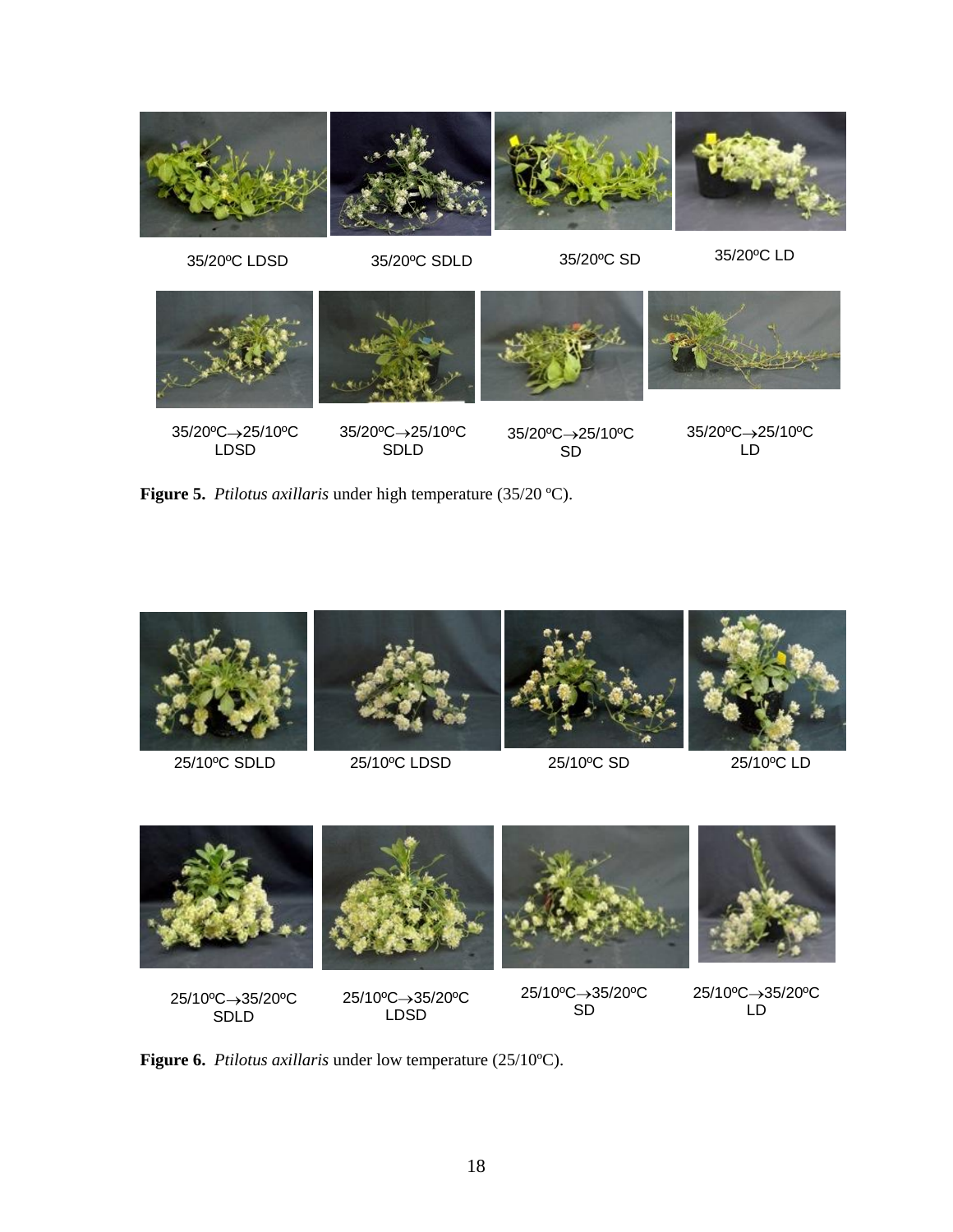

**Figure 5.** *Ptilotus axillaris* under high temperature (35/20 ºC).



SDLD

LDSD

SD

LD



**Figure 6.** *Ptilotus axillaris* under low temperature (25/10ºC).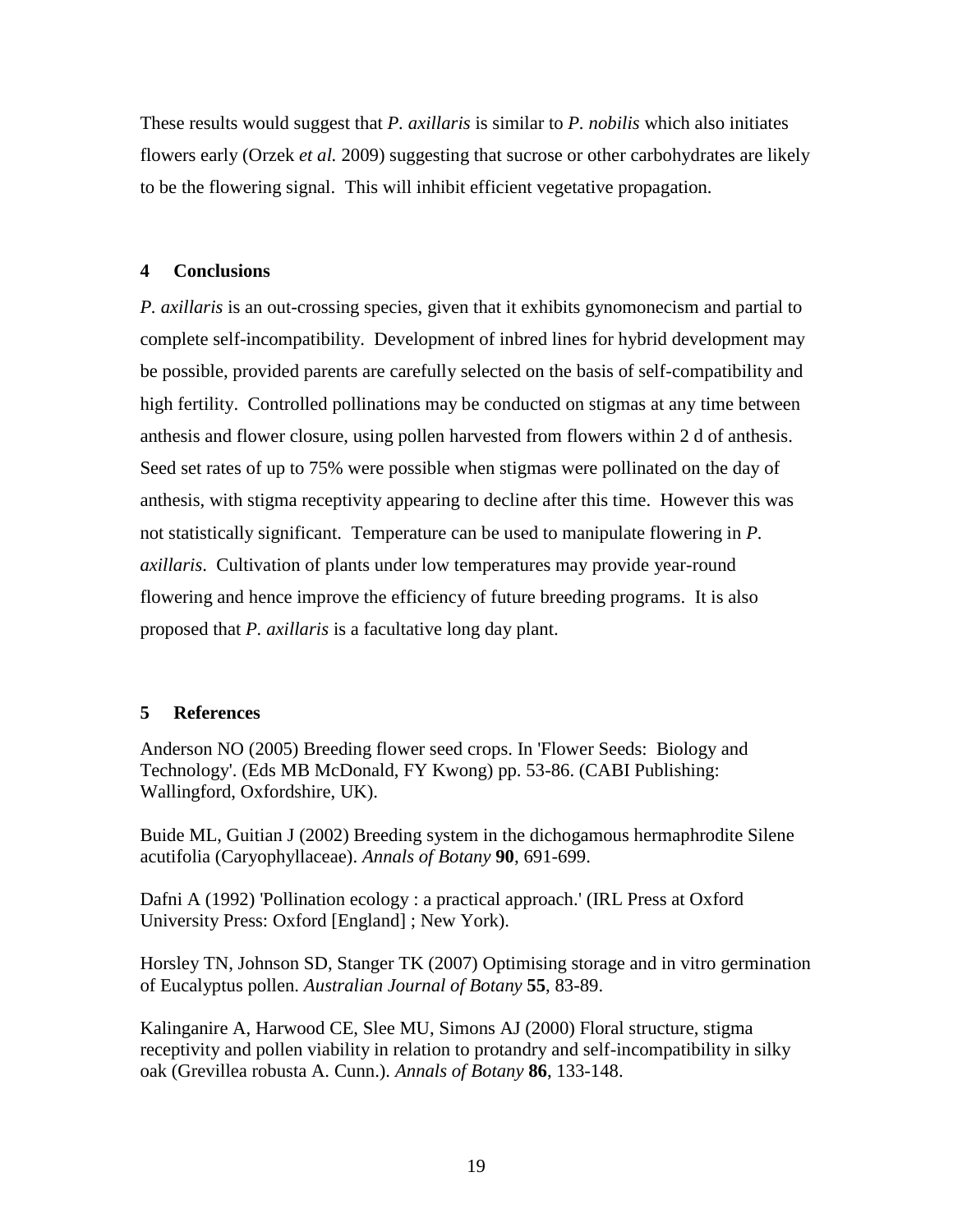These results would suggest that *P. axillaris* is similar to *P. nobilis* which also initiates flowers early (Orzek *et al.* 2009) suggesting that sucrose or other carbohydrates are likely to be the flowering signal. This will inhibit efficient vegetative propagation.

# **4 Conclusions**

*P. axillaris* is an out-crossing species, given that it exhibits gynomonecism and partial to complete self-incompatibility. Development of inbred lines for hybrid development may be possible, provided parents are carefully selected on the basis of self-compatibility and high fertility. Controlled pollinations may be conducted on stigmas at any time between anthesis and flower closure, using pollen harvested from flowers within 2 d of anthesis. Seed set rates of up to 75% were possible when stigmas were pollinated on the day of anthesis, with stigma receptivity appearing to decline after this time. However this was not statistically significant. Temperature can be used to manipulate flowering in *P. axillaris*. Cultivation of plants under low temperatures may provide year-round flowering and hence improve the efficiency of future breeding programs. It is also proposed that *P. axillaris* is a facultative long day plant.

# **5 References**

Anderson NO (2005) Breeding flower seed crops. In 'Flower Seeds: Biology and Technology'. (Eds MB McDonald, FY Kwong) pp. 53-86. (CABI Publishing: Wallingford, Oxfordshire, UK).

Buide ML, Guitian J (2002) Breeding system in the dichogamous hermaphrodite Silene acutifolia (Caryophyllaceae). *Annals of Botany* **90**, 691-699.

Dafni A (1992) 'Pollination ecology : a practical approach.' (IRL Press at Oxford University Press: Oxford [England] ; New York).

Horsley TN, Johnson SD, Stanger TK (2007) Optimising storage and in vitro germination of Eucalyptus pollen. *Australian Journal of Botany* **55**, 83-89.

Kalinganire A, Harwood CE, Slee MU, Simons AJ (2000) Floral structure, stigma receptivity and pollen viability in relation to protandry and self-incompatibility in silky oak (Grevillea robusta A. Cunn.). *Annals of Botany* **86**, 133-148.